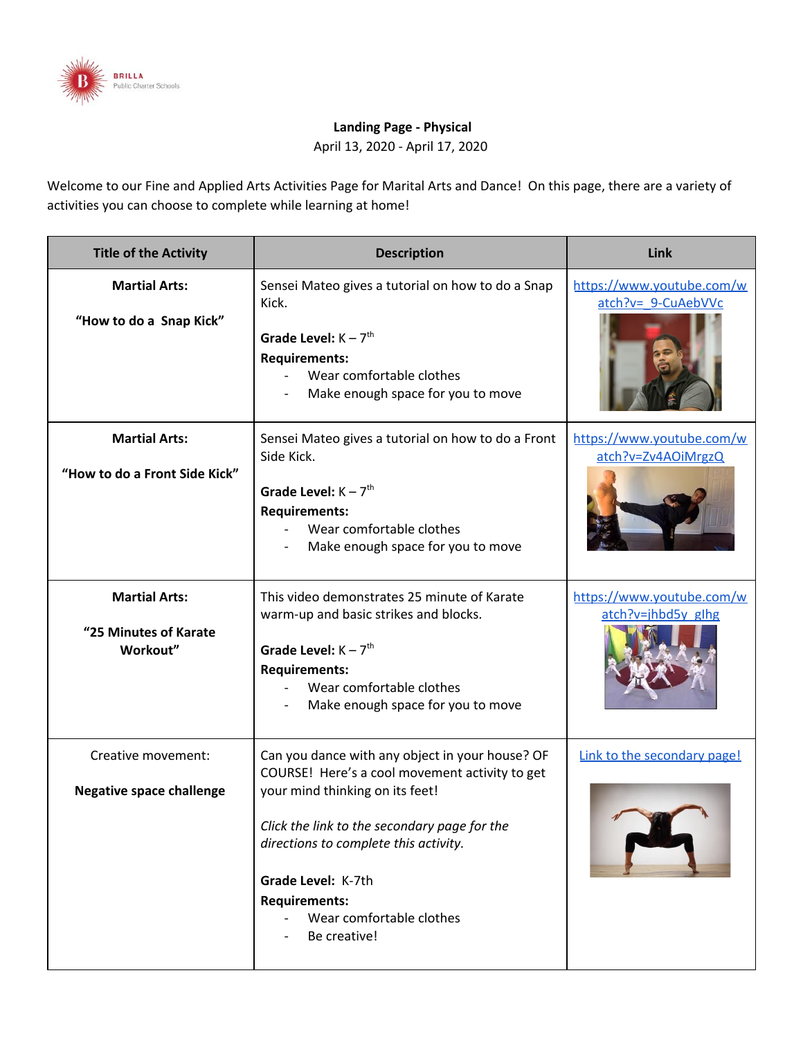

## **Landing Page - Physical**

April 13, 2020 - April 17, 2020

Welcome to our Fine and Applied Arts Activities Page for Marital Arts and Dance! On this page, there are a variety of activities you can choose to complete while learning at home!

| <b>Title of the Activity</b>                              | <b>Description</b>                                                                                                                                                                                                                                                                                                      | Link                                             |
|-----------------------------------------------------------|-------------------------------------------------------------------------------------------------------------------------------------------------------------------------------------------------------------------------------------------------------------------------------------------------------------------------|--------------------------------------------------|
| <b>Martial Arts:</b><br>"How to do a Snap Kick"           | Sensei Mateo gives a tutorial on how to do a Snap<br>Kick.<br>Grade Level: $K - 7$ <sup>th</sup><br><b>Requirements:</b><br>Wear comfortable clothes<br>Make enough space for you to move                                                                                                                               | https://www.youtube.com/w<br>atch?v= 9-CuAebVVc  |
| <b>Martial Arts:</b><br>"How to do a Front Side Kick"     | Sensei Mateo gives a tutorial on how to do a Front<br>Side Kick.<br>Grade Level: $K - 7$ <sup>th</sup><br><b>Requirements:</b><br>Wear comfortable clothes<br>Make enough space for you to move                                                                                                                         | https://www.youtube.com/w<br>atch?v=Zv4AOiMrgzQ  |
| <b>Martial Arts:</b><br>"25 Minutes of Karate<br>Workout" | This video demonstrates 25 minute of Karate<br>warm-up and basic strikes and blocks.<br>Grade Level: $K - 7$ <sup>th</sup><br><b>Requirements:</b><br>Wear comfortable clothes<br>Make enough space for you to move                                                                                                     | https://www.youtube.com/w<br>$atch?v=ihbd5v ghg$ |
| Creative movement:<br><b>Negative space challenge</b>     | Can you dance with any object in your house? OF<br>COURSE! Here's a cool movement activity to get<br>your mind thinking on its feet!<br>Click the link to the secondary page for the<br>directions to complete this activity.<br>Grade Level: K-7th<br><b>Requirements:</b><br>Wear comfortable clothes<br>Be creative! | Link to the secondary page!                      |